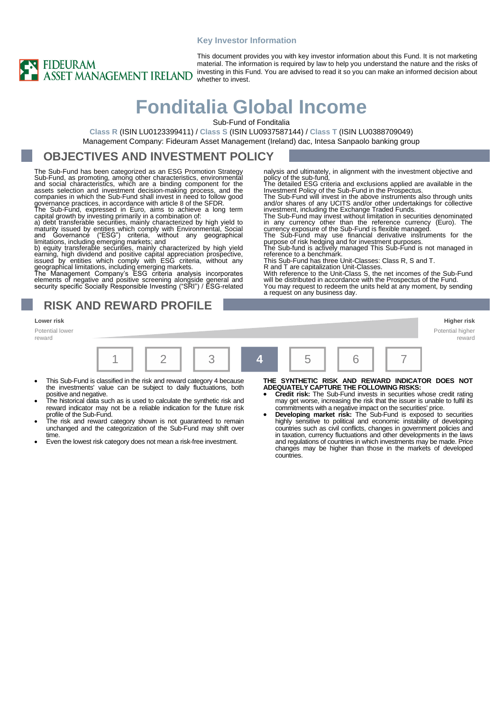### **Key Investor Information**



This document provides you with key investor information about this Fund. It is not marketing material. The information is required by law to help you understand the nature and the risks of investing in this Fund. You are advised to read it so you can make an informed decision about whether to invest.

# **Fonditalia Global Income**

Sub-Fund of Fonditalia

**Class R** (ISIN LU0123399411) / **Class S** (ISIN LU0937587144) / **Class T** (ISIN LU0388709049) Management Company: Fideuram Asset Management (Ireland) dac, Intesa Sanpaolo banking group

### **OBJECTIVES AND INVESTMENT POLICY**

The Sub-Fund has been categorized as an ESG Promotion Strategy Sub-Fund, as promoting, among other characteristics, environmental<br>and social characteristics, which are a binding component for the<br>assets selection and investment decision-making process, and the<br>companies in which the S governance practices, in accordance with article 8 of the SFDR.

The Sub-Fund, expressed in Euro, aims to achieve a long term capital growth by investing primarily in a combination of: a) debt transferable securities, mainly characterized by high yield to

maturity issued by entities which comply with Environmental, Social<br>and Governance ("ESG") criteria, without any geographical<br>limitations, including emerging markets; and<br>b) equity transferable securities, mainly character

elements of negative and positive screening alongside general and security specific Socially Responsible Investing ("SRI") / ESG-related

### **RISK AND REWARD PROFILE**

Potential lower reward

**Lower risk Higher risk** Potential higher reward 1 **| 2 | | 3 | | 4 | |** 5 | | 6 | | 7

- This Sub-Fund is classified in the risk and reward category 4 because the investments' value can be subject to daily fluctuations, both
- positive and negative. The historical data such as is used to calculate the synthetic risk and reward indicator may not be a reliable indication for the future risk
- profile of the Sub-Fund. The risk and reward category shown is not guaranteed to remain unchanged and the categorization of the Sub-Fund may shift over time.
- Even the lowest risk category does not mean a risk-free investment.

nalysis and ultimately, in alignment with the investment objective and

policy of the sub-fund,<br>The detailed ESG criteria and exclusions applied are available in the<br>Investment Policy of the Sub-Fund in the Prospectus.<br>The Sub-Fund will invest in the above instruments also through units and/or shares of any UCITS and/or other undertakings for collective

investment, including the Exchange Traded Funds.<br>The Sub-Fund may invest without limitation in securities denominated<br>in any currency other than the reference currency (Euro). The<br>currency exposure of the Sub-Fund is flexi

This Sub-Fund has three Unit-Classes: Class R, S and T.

R and T are capitalization Unit-Classes. With reference to the Unit-Class S, the net incomes of the Sub-Fund will be distributed in accordance with the Prospectus of the Fund. You may request to redeem the units held at any moment, by sending a request on any business day.

**THE SYNTHETIC RISK AND REWARD INDICATOR DOES NOT ADEQUATELY CAPTURE THE FOLLOWING RISKS:**

- **Credit risk:** The Sub-Fund invests in securities whose credit rating may get worse, increasing the risk that the issuer is unable to fulfil its commitments with a negative impact on the securities' price.
- **Developing market risk:** The Sub-Fund is exposed to securities highly sensitive to political and economic instability of developing countries such as civil conflicts, changes in government policies and in taxation, currency fluctuations and other developments in the laws and regulations of countries in which investments may be made. Price changes may be higher than those in the markets of developed countries.